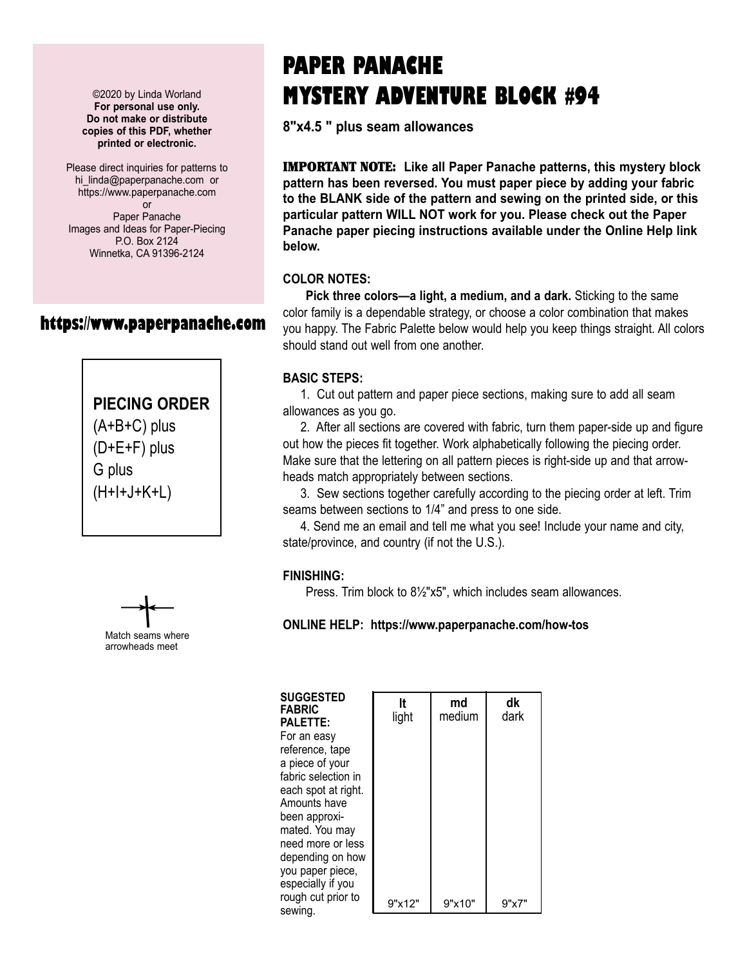©2020 by Linda Worland **For personal use only. Do not make or distribute copies of this PDF, whether printed or electronic.**

Please direct inquiries for patterns to hi linda@paperpanache.com or https://www.paperpanache.com or Paper Panache Images and Ideas for Paper-Piecing P.O. Box 2124 Winnetka, CA 91396-2124

## **https://www.paperpanache.com**

# **PIECING ORDER**

(A+B+C) plus (D+E+F) plus G plus (H+I+J+K+L)



# **PAPER PANACHE MYSTERY ADVENTURE BLOCK #94**

**8"x4.5 " plus seam allowances**

IMPORTANT NOTE: **Like all Paper Panache patterns, this mystery block pattern has been reversed. You must paper piece by adding your fabric to the BLANK side of the pattern and sewing on the printed side, or this particular pattern WILL NOT work for you. Please check out the Paper Panache paper piecing instructions available under the Online Help link below.**

#### **COLOR NOTES:**

 **Pick three colors—a light, a medium, and a dark.** Sticking to the same color family is a dependable strategy, or choose a color combination that makes you happy. The Fabric Palette below would help you keep things straight. All colors should stand out well from one another.

#### **BASIC STEPS:**

 1. Cut out pattern and paper piece sections, making sure to add all seam allowances as you go.

 2. After all sections are covered with fabric, turn them paper-side up and figure out how the pieces fit together. Work alphabetically following the piecing order. Make sure that the lettering on all pattern pieces is right-side up and that arrowheads match appropriately between sections.

 3. Sew sections together carefully according to the piecing order at left. Trim seams between sections to 1/4" and press to one side.

 4. Send me an email and tell me what you see! Include your name and city, state/province, and country (if not the U.S.).

## **FINISHING:**

Press. Trim block to 8½"x5", which includes seam allowances.

## **ONLINE HELP: https://www.paperpanache.com/how-tos**

| <b>SUGGESTED</b><br>FABRIC | It     |
|----------------------------|--------|
| <b>PALETTE:</b>            | light  |
| For an easv                |        |
| reference, tape            |        |
| a piece of your            |        |
| fabric selection in        |        |
| each spot at right.        |        |
| Amounts have               |        |
| been approxi-              |        |
| mated. You may             |        |
| need more or less          |        |
| depending on how           |        |
| you paper piece,           |        |
| especially if you          |        |
| rough cut prior to         | 9"x12" |
| sewing.                    |        |

|        | It<br>light | md<br>medium | dk<br>dark |  |
|--------|-------------|--------------|------------|--|
| ;<br>Í |             |              |            |  |
|        | 9"x12"      | 9"x10"       | 9"x7"      |  |